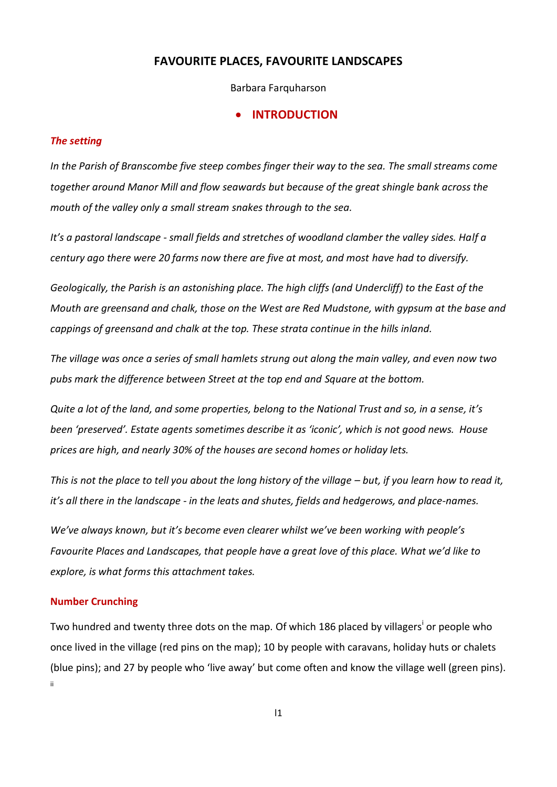# **FAVOURITE PLACES, FAVOURITE LANDSCAPES**

Barbara Farquharson

#### **INTRODUCTION**

#### *The setting*

*In the Parish of Branscombe five steep combes finger their way to the sea. The small streams come together around Manor Mill and flow seawards but because of the great shingle bank across the mouth of the valley only a small stream snakes through to the sea.* 

*It's a pastoral landscape - small fields and stretches of woodland clamber the valley sides. Half a century ago there were 20 farms now there are five at most, and most have had to diversify.*

*Geologically, the Parish is an astonishing place. The high cliffs (and Undercliff) to the East of the Mouth are greensand and chalk, those on the West are Red Mudstone, with gypsum at the base and cappings of greensand and chalk at the top. These strata continue in the hills inland.*

*The village was once a series of small hamlets strung out along the main valley, and even now two pubs mark the difference between Street at the top end and Square at the bottom.* 

*Quite a lot of the land, and some properties, belong to the National Trust and so, in a sense, it's been 'preserved'. Estate agents sometimes describe it as 'iconic', which is not good news. House prices are high, and nearly 30% of the houses are second homes or holiday lets.* 

*This is not the place to tell you about the long history of the village – but, if you learn how to read it, it's all there in the landscape - in the leats and shutes, fields and hedgerows, and place-names.*

*We've always known, but it's become even clearer whilst we've been working with people's Favourite Places and Landscapes, that people have a great love of this place. What we'd like to explore, is what forms this attachment takes.* 

#### **Number Crunching**

Two hundred and twenty three dots on the map. Of which 186 placed by villagers<sup>i</sup> or people who once lived in the village (red pins on the map); 10 by people with caravans, holiday huts or chalets (blue pins); and 27 by people who 'live away' but come often and know the village well (green pins). ii

 $|1$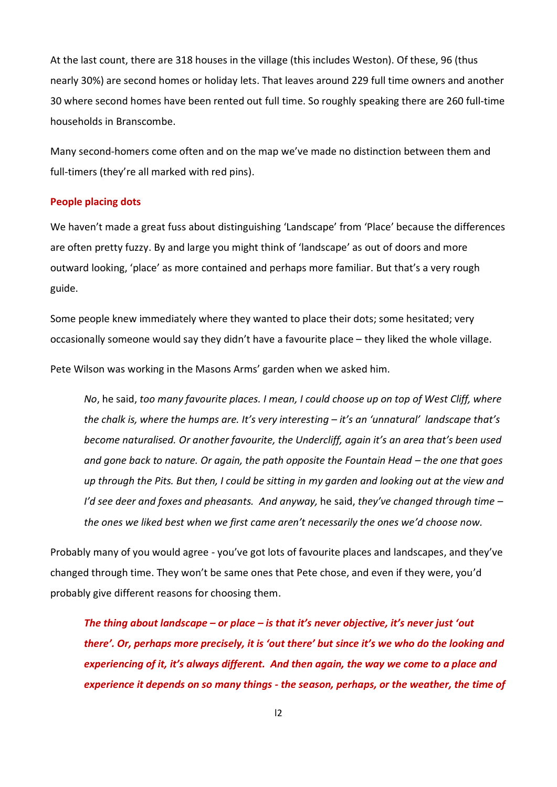At the last count, there are 318 houses in the village (this includes Weston). Of these, 96 (thus nearly 30%) are second homes or holiday lets. That leaves around 229 full time owners and another 30 where second homes have been rented out full time. So roughly speaking there are 260 full-time households in Branscombe.

Many second-homers come often and on the map we've made no distinction between them and full-timers (they're all marked with red pins).

#### **People placing dots**

We haven't made a great fuss about distinguishing 'Landscape' from 'Place' because the differences are often pretty fuzzy. By and large you might think of 'landscape' as out of doors and more outward looking, 'place' as more contained and perhaps more familiar. But that's a very rough guide.

Some people knew immediately where they wanted to place their dots; some hesitated; very occasionally someone would say they didn't have a favourite place – they liked the whole village.

Pete Wilson was working in the Masons Arms' garden when we asked him.

*No*, he said, *too many favourite places. I mean, I could choose up on top of West Cliff, where the chalk is, where the humps are. It's very interesting – it's an 'unnatural' landscape that's become naturalised. Or another favourite, the Undercliff, again it's an area that's been used and gone back to nature. Or again, the path opposite the Fountain Head – the one that goes up through the Pits. But then, I could be sitting in my garden and looking out at the view and I'd see deer and foxes and pheasants. And anyway,* he said, *they've changed through time – the ones we liked best when we first came aren't necessarily the ones we'd choose now.*

Probably many of you would agree - you've got lots of favourite places and landscapes, and they've changed through time. They won't be same ones that Pete chose, and even if they were, you'd probably give different reasons for choosing them.

*The thing about landscape – or place – is that it's never objective, it's never just 'out there'. Or, perhaps more precisely, it is 'out there' but since it's we who do the looking and experiencing of it, it's always different. And then again, the way we come to a place and experience it depends on so many things - the season, perhaps, or the weather, the time of*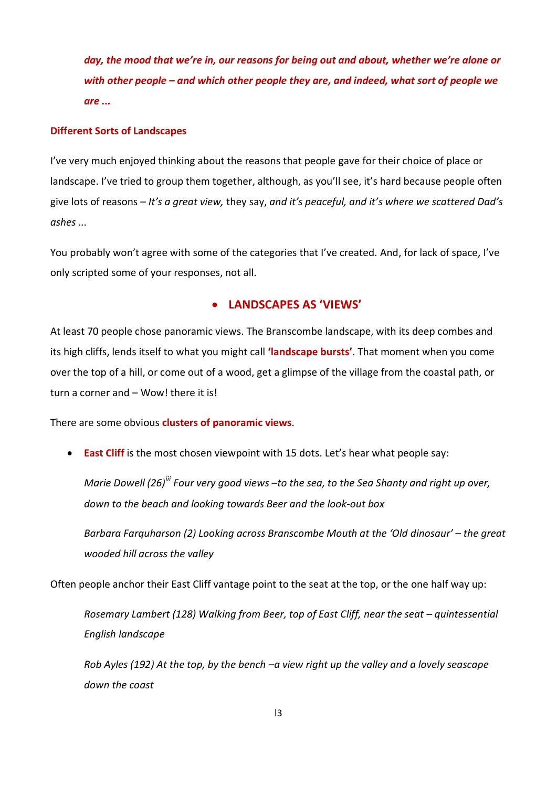*day, the mood that we're in, our reasons for being out and about, whether we're alone or with other people – and which other people they are, and indeed, what sort of people we are ...* 

#### **Different Sorts of Landscapes**

I've very much enjoyed thinking about the reasons that people gave for their choice of place or landscape. I've tried to group them together, although, as you'll see, it's hard because people often give lots of reasons – *It's a great view,* they say, *and it's peaceful, and it's where we scattered Dad's ashes ...* 

You probably won't agree with some of the categories that I've created. And, for lack of space, I've only scripted some of your responses, not all.

# **LANDSCAPES AS 'VIEWS'**

At least 70 people chose panoramic views. The Branscombe landscape, with its deep combes and its high cliffs, lends itself to what you might call **'landscape bursts'**. That moment when you come over the top of a hill, or come out of a wood, get a glimpse of the village from the coastal path, or turn a corner and – Wow! there it is!

There are some obvious **clusters of panoramic views**.

**East Cliff** is the most chosen viewpoint with 15 dots. Let's hear what people say:

*Marie Dowell (26)iii Four very good views –to the sea, to the Sea Shanty and right up over, down to the beach and looking towards Beer and the look-out box*

*Barbara Farquharson (2) Looking across Branscombe Mouth at the 'Old dinosaur' – the great wooded hill across the valley*

Often people anchor their East Cliff vantage point to the seat at the top, or the one half way up:

*Rosemary Lambert (128) Walking from Beer, top of East Cliff, near the seat – quintessential English landscape*

*Rob Ayles (192) At the top, by the bench –a view right up the valley and a lovely seascape down the coast*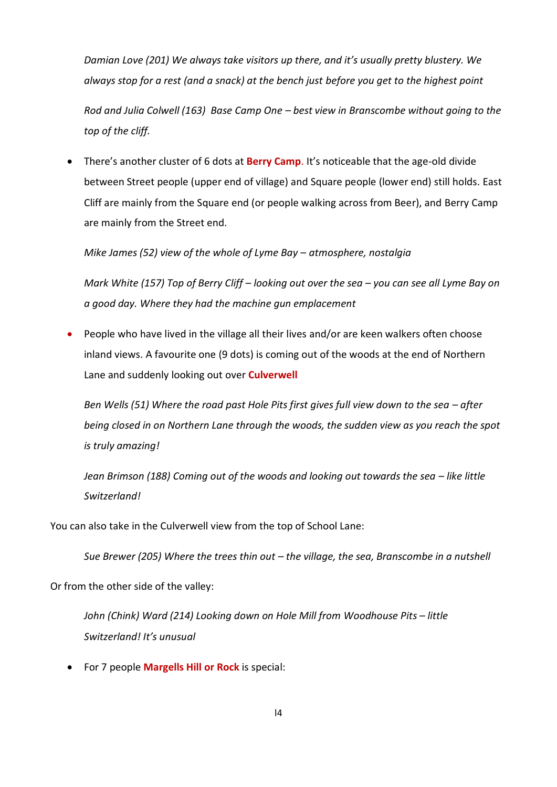*Damian Love (201) We always take visitors up there, and it's usually pretty blustery. We always stop for a rest (and a snack) at the bench just before you get to the highest point*

*Rod and Julia Colwell (163) Base Camp One – best view in Branscombe without going to the top of the cliff.*

 There's another cluster of 6 dots at **Berry Camp**. It's noticeable that the age-old divide between Street people (upper end of village) and Square people (lower end) still holds. East Cliff are mainly from the Square end (or people walking across from Beer), and Berry Camp are mainly from the Street end.

*Mike James (52) view of the whole of Lyme Bay – atmosphere, nostalgia*

*Mark White (157) Top of Berry Cliff – looking out over the sea – you can see all Lyme Bay on a good day. Where they had the machine gun emplacement*

 People who have lived in the village all their lives and/or are keen walkers often choose inland views. A favourite one (9 dots) is coming out of the woods at the end of Northern Lane and suddenly looking out over **Culverwell**

*Ben Wells (51) Where the road past Hole Pits first gives full view down to the sea – after being closed in on Northern Lane through the woods, the sudden view as you reach the spot is truly amazing!*

*Jean Brimson (188) Coming out of the woods and looking out towards the seg – like little Switzerland!*

You can also take in the Culverwell view from the top of School Lane:

Sue Brewer (205) Where the trees thin out - the village, the sea, Branscombe in a nutshell

Or from the other side of the valley:

*John (Chink) Ward (214) Looking down on Hole Mill from Woodhouse Pits – little Switzerland! It's unusual*

For 7 people **Margells Hill or Rock** is special: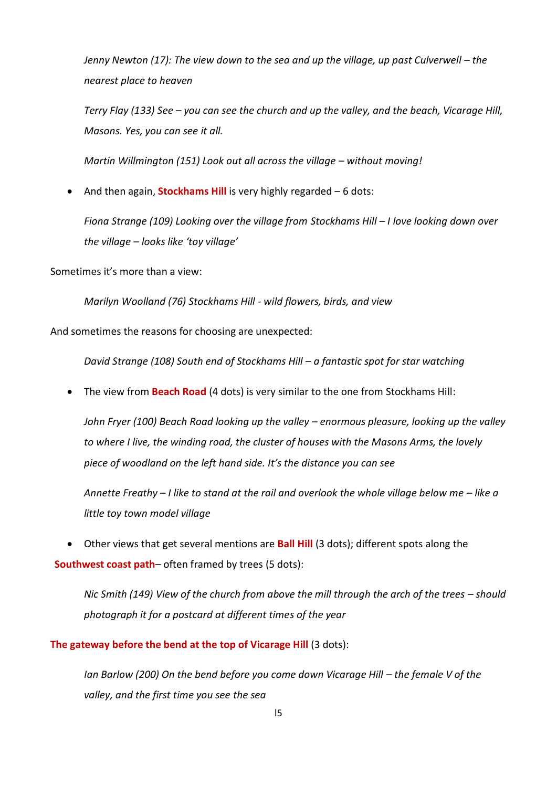*Jenny Newton (17): The view down to the sea and up the village, up past Culverwell – the nearest place to heaven*

*Terry Flay (133) See – you can see the church and up the valley, and the beach, Vicarage Hill, Masons. Yes, you can see it all.*

*Martin Willmington (151) Look out all across the village – without moving!* 

• And then again, **Stockhams Hill** is very highly regarded – 6 dots:

*Fiona Strange (109) Looking over the village from Stockhams Hill – I love looking down over the village – looks like 'toy village'*

Sometimes it's more than a view:

*Marilyn Woolland (76) Stockhams Hill - wild flowers, birds, and view*

And sometimes the reasons for choosing are unexpected:

*David Strange (108) South end of Stockhams Hill – a fantastic spot for star watching*

The view from **Beach Road** (4 dots) is very similar to the one from Stockhams Hill:

*John Fryer (100) Beach Road looking up the valley – enormous pleasure, looking up the valley to where I live, the winding road, the cluster of houses with the Masons Arms, the lovely piece of woodland on the left hand side. It's the distance you can see* 

*Annette Freathy – I like to stand at the rail and overlook the whole village below me – like a little toy town model village*

 Other views that get several mentions are **Ball Hill** (3 dots); different spots along the **Southwest coast path**– often framed by trees (5 dots):

*Nic Smith (149) View of the church from above the mill through the arch of the trees - should photograph it for a postcard at different times of the year*

**The gateway before the bend at the top of Vicarage Hill** (3 dots):

*Ian Barlow (200) On the bend before you come down Vicarage Hill – the female V of the valley, and the first time you see the sea*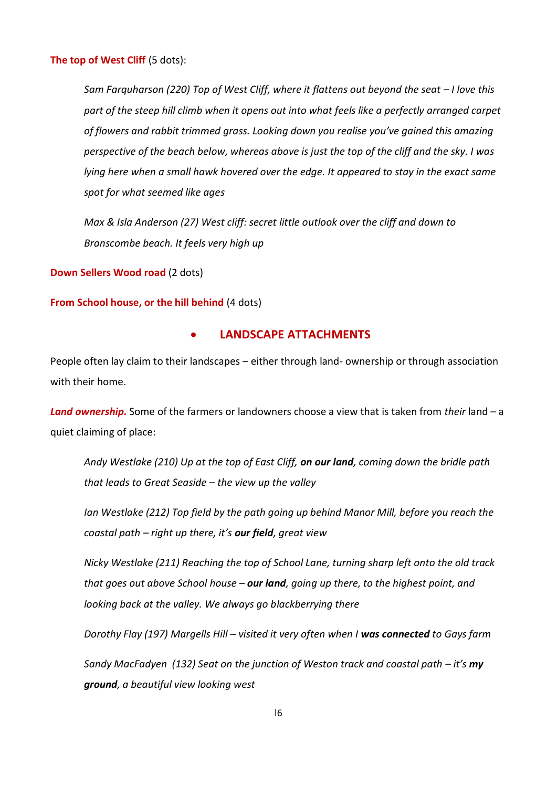**The top of West Cliff** (5 dots):

*Sam Farquharson (220) Top of West Cliff, where it flattens out beyond the seat – I love this part of the steep hill climb when it opens out into what feels like a perfectly arranged carpet of flowers and rabbit trimmed grass. Looking down you realise you've gained this amazing perspective of the beach below, whereas above is just the top of the cliff and the sky. I was lying here when a small hawk hovered over the edge. It appeared to stay in the exact same spot for what seemed like ages*

*Max & Isla Anderson (27) West cliff: secret little outlook over the cliff and down to Branscombe beach. It feels very high up*

**Down Sellers Wood road** (2 dots)

**From School house, or the hill behind** (4 dots)

## **LANDSCAPE ATTACHMENTS**

People often lay claim to their landscapes – either through land- ownership or through association with their home.

*Land ownership.* Some of the farmers or landowners choose a view that is taken from *their* land – a quiet claiming of place:

*Andy Westlake (210) Up at the top of East Cliff, on our land, coming down the bridle path that leads to Great Seaside – the view up the valley*

*Ian Westlake (212) Top field by the path going up behind Manor Mill, before you reach the coastal path – right up there, it's our field, great view*

*Nicky Westlake (211) Reaching the top of School Lane, turning sharp left onto the old track that goes out above School house – our land, going up there, to the highest point, and looking back at the valley. We always go blackberrying there*

*Dorothy Flay (197) Margells Hill – visited it very often when I was connected to Gays farm*

*Sandy MacFadyen (132) Seat on the junction of Weston track and coastal path – it's my ground, a beautiful view looking west*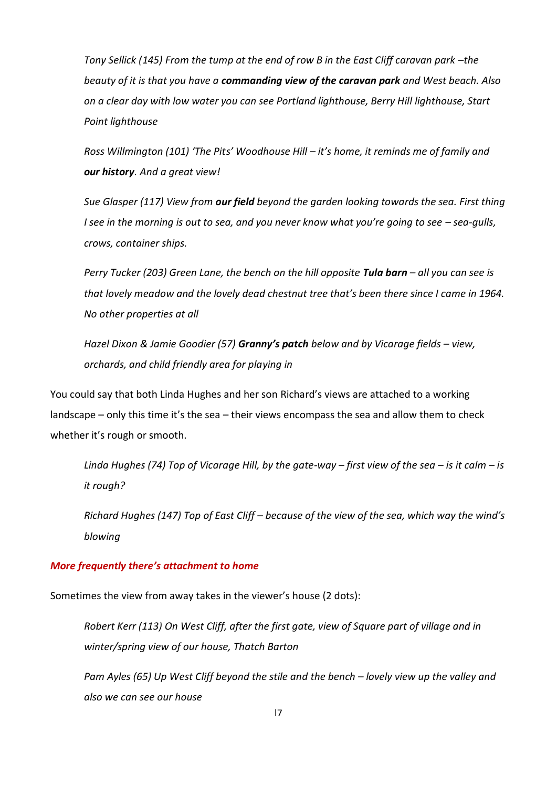*Tony Sellick (145) From the tump at the end of row B in the East Cliff caravan park -the beauty of it is that you have a commanding view of the caravan park and West beach. Also on a clear day with low water you can see Portland lighthouse, Berry Hill lighthouse, Start Point lighthouse*

*Ross Willmington (101) 'The Pits' Woodhouse Hill – it's home, it reminds me of family and our history. And a great view!*

*Sue Glasper (117) View from our field beyond the garden looking towards the sea. First thing I see in the morning is out to sea, and you never know what you're going to see – sea-gulls, crows, container ships.*

*Perry Tucker (203) Green Lane, the bench on the hill opposite Tula barn – all you can see is that lovely meadow and the lovely dead chestnut tree that's been there since I came in 1964. No other properties at all*

*Hazel Dixon & Jamie Goodier (57) Granny's patch below and by Vicarage fields – view, orchards, and child friendly area for playing in*

You could say that both Linda Hughes and her son Richard's views are attached to a working landscape – only this time it's the sea – their views encompass the sea and allow them to check whether it's rough or smooth.

*Linda Hughes (74) Top of Vicarage Hill, by the gate-way – first view of the sea – is it calm – is it rough?*

*Richard Hughes (147) Top of East Cliff – because of the view of the sea, which way the wind's blowing*

# *More frequently there's attachment to home*

Sometimes the view from away takes in the viewer's house (2 dots):

*Robert Kerr (113) On West Cliff, after the first gate, view of Square part of village and in winter/spring view of our house, Thatch Barton*

*Pam Ayles (65) Up West Cliff beyond the stile and the bench – lovely view up the valley and also we can see our house*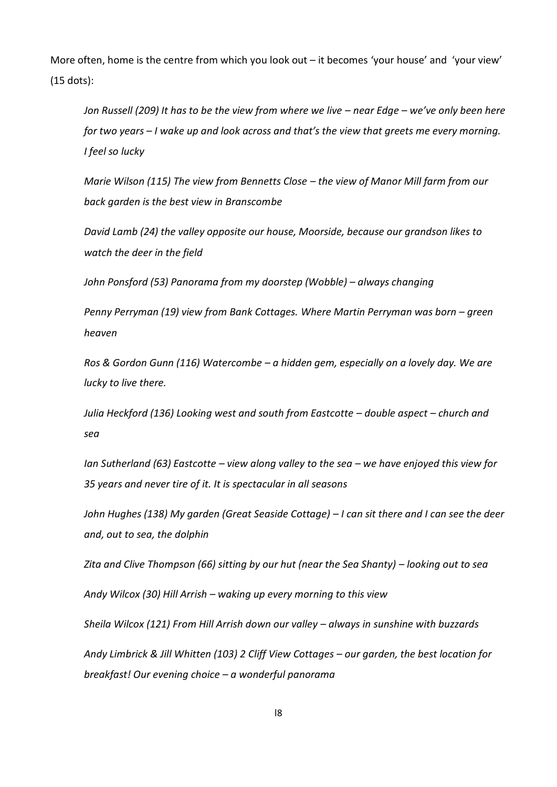More often, home is the centre from which you look out – it becomes 'your house' and 'your view' (15 dots):

*Jon Russell (209) It has to be the view from where we live – near Edge – we've only been here for two years – I wake up and look across and that's the view that greets me every morning. I feel so lucky*

*Marie Wilson (115) The view from Bennetts Close – the view of Manor Mill farm from our back garden is the best view in Branscombe*

*David Lamb (24) the valley opposite our house, Moorside, because our grandson likes to watch the deer in the field*

*John Ponsford (53) Panorama from my doorstep (Wobble) – always changing*

*Penny Perryman (19) view from Bank Cottages. Where Martin Perryman was born – green heaven*

*Ros & Gordon Gunn (116) Watercombe – a hidden gem, especially on a lovely day. We are lucky to live there.*

*Julia Heckford (136) Looking west and south from Eastcotte – double aspect – church and sea*

*Ian Sutherland (63) Eastcotte – view along valley to the sea – we have enjoyed this view for 35 years and never tire of it. It is spectacular in all seasons*

*John Hughes (138) My garden (Great Seaside Cottage) – I can sit there and I can see the deer and, out to sea, the dolphin*

*Zita and Clive Thompson (66) sitting by our hut (near the Sea Shanty) – looking out to sea*

*Andy Wilcox (30) Hill Arrish – waking up every morning to this view*

*Sheila Wilcox (121) From Hill Arrish down our valley – always in sunshine with buzzards*

*Andy Limbrick & Jill Whitten (103) 2 Cliff View Cottages – our garden, the best location for breakfast! Our evening choice – a wonderful panorama*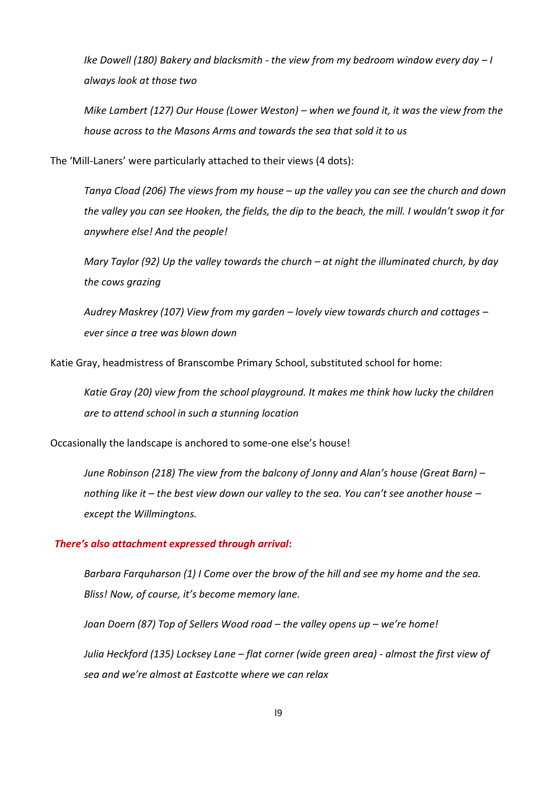*Ike Dowell (180) Bakery and blacksmith - the view from my bedroom window every day – I always look at those two*

*Mike Lambert (127) Our House (Lower Weston) – when we found it, it was the view from the house across to the Masons Arms and towards the sea that sold it to us*

The 'Mill-Laners' were particularly attached to their views (4 dots):

*Tanya Cload (206) The views from my house – up the valley you can see the church and down the valley you can see Hooken, the fields, the dip to the beach, the mill. I wouldn't swop it for anywhere else! And the people!*

*Mary Taylor (92) Up the valley towards the church – at night the illuminated church, by day the cows grazing*

*Audrey Maskrey (107) View from my garden – lovely view towards church and cottages – ever since a tree was blown down*

Katie Gray, headmistress of Branscombe Primary School, substituted school for home:

*Katie Gray (20) view from the school playground. It makes me think how lucky the children are to attend school in such a stunning location*

Occasionally the landscape is anchored to some-one else's house!

*June Robinson (218) The view from the balcony of Jonny and Alan's house (Great Barn) – nothing like it – the best view down our valley to the sea. You can't see another house – except the Willmingtons.*

#### *There's also attachment expressed through arrival***:**

*Barbara Farquharson (1) I Come over the brow of the hill and see my home and the sea. Bliss! Now, of course, it's become memory lane.* 

*Joan Doern (87) Top of Sellers Wood road – the valley opens up – we're home!*

*Julia Heckford (135) Locksey Lane – flat corner (wide green area) - almost the first view of sea and we're almost at Eastcotte where we can relax*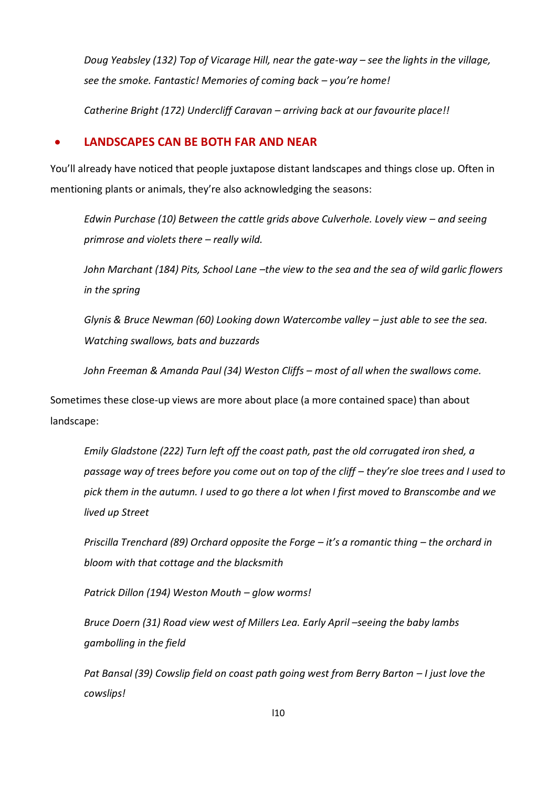*Doug Yeabsley (132) Top of Vicarage Hill, near the gate-way – see the lights in the village, see the smoke. Fantastic! Memories of coming back – you're home!*

*Catherine Bright (172) Undercliff Caravan – arriving back at our favourite place!!*

### **LANDSCAPES CAN BE BOTH FAR AND NEAR**

You'll already have noticed that people juxtapose distant landscapes and things close up. Often in mentioning plants or animals, they're also acknowledging the seasons:

*Edwin Purchase (10) Between the cattle grids above Culverhole. Lovely view - and seeing primrose and violets there – really wild.*

*John Marchant (184) Pits, School Lane –the view to the sea and the sea of wild garlic flowers in the spring*

*Glynis & Bruce Newman (60) Looking down Watercombe valley – just able to see the sea. Watching swallows, bats and buzzards*

*John Freeman & Amanda Paul (34) Weston Cliffs – most of all when the swallows come.*

Sometimes these close-up views are more about place (a more contained space) than about landscape:

*Emily Gladstone (222) Turn left off the coast path, past the old corrugated iron shed, a passage way of trees before you come out on top of the cliff – they're sloe trees and I used to pick them in the autumn. I used to go there a lot when I first moved to Branscombe and we lived up Street*

*Priscilla Trenchard (89) Orchard opposite the Forge – it's a romantic thing – the orchard in bloom with that cottage and the blacksmith*

*Patrick Dillon (194) Weston Mouth – glow worms!*

*Bruce Doern (31) Road view west of Millers Lea. Early April –seeing the baby lambs gambolling in the field*

*Pat Bansal (39) Cowslip field on coast path going west from Berry Barton – I just love the cowslips!*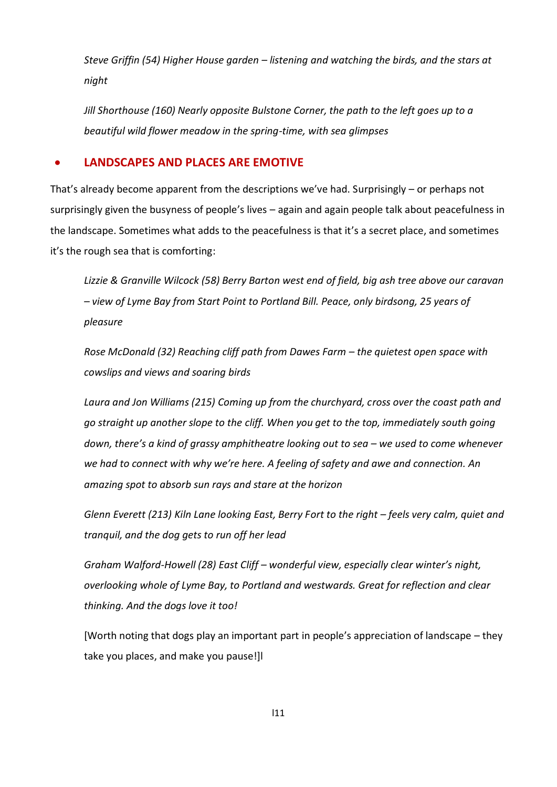*Steve Griffin (54) Higher House garden – listening and watching the birds, and the stars at night*

*Jill Shorthouse (160) Nearly opposite Bulstone Corner, the path to the left goes up to a beautiful wild flower meadow in the spring-time, with sea glimpses*

# **LANDSCAPES AND PLACES ARE EMOTIVE**

That's already become apparent from the descriptions we've had. Surprisingly – or perhaps not surprisingly given the busyness of people's lives – again and again people talk about peacefulness in the landscape. Sometimes what adds to the peacefulness is that it's a secret place, and sometimes it's the rough sea that is comforting:

*Lizzie & Granville Wilcock (58) Berry Barton west end of field, big ash tree above our caravan – view of Lyme Bay from Start Point to Portland Bill. Peace, only birdsong, 25 years of pleasure*

*Rose McDonald (32) Reaching cliff path from Dawes Farm – the quietest open space with cowslips and views and soaring birds*

*Laura and Jon Williams (215) Coming up from the churchyard, cross over the coast path and go straight up another slope to the cliff. When you get to the top, immediately south going down, there's a kind of grassy amphitheatre looking out to sea – we used to come whenever we had to connect with why we're here. A feeling of safety and awe and connection. An amazing spot to absorb sun rays and stare at the horizon*

*Glenn Everett (213) Kiln Lane looking East, Berry Fort to the right – feels very calm, quiet and tranquil, and the dog gets to run off her lead*

*Graham Walford-Howell (28) East Cliff – wonderful view, especially clear winter's night, overlooking whole of Lyme Bay, to Portland and westwards. Great for reflection and clear thinking. And the dogs love it too!* 

[Worth noting that dogs play an important part in people's appreciation of landscape – they take you places, and make you pause!]l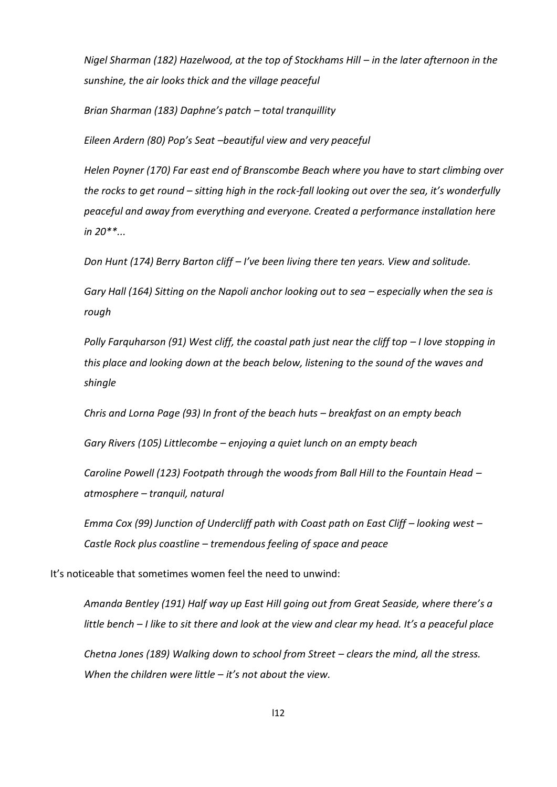*Nigel Sharman (182) Hazelwood, at the top of Stockhams Hill – in the later afternoon in the sunshine, the air looks thick and the village peaceful*

*Brian Sharman (183) Daphne's patch – total tranquillity*

*Eileen Ardern (80) Pop's Seat –beautiful view and very peaceful*

*Helen Poyner (170) Far east end of Branscombe Beach where you have to start climbing over the rocks to get round – sitting high in the rock-fall looking out over the sea, it's wonderfully peaceful and away from everything and everyone. Created a performance installation here in 20\*\*...*

*Don Hunt (174) Berry Barton cliff – I've been living there ten years. View and solitude.*

*Gary Hall* (164) Sitting on the Napoli anchor looking out to sea – especially when the sea is *rough*

*Polly Farquharson (91) West cliff, the coastal path just near the cliff top – I love stopping in this place and looking down at the beach below, listening to the sound of the waves and shingle*

*Chris and Lorna Page (93) In front of the beach huts – breakfast on an empty beach*

*Gary Rivers (105) Littlecombe – enjoying a quiet lunch on an empty beach*

*Caroline Powell (123) Footpath through the woods from Ball Hill to the Fountain Head – atmosphere – tranquil, natural*

*Emma Cox (99) Junction of Undercliff path with Coast path on East Cliff – looking west – Castle Rock plus coastline – tremendous feeling of space and peace*

It's noticeable that sometimes women feel the need to unwind:

*Amanda Bentley (191) Half way up East Hill going out from Great Seaside, where there's a little bench – I like to sit there and look at the view and clear my head. It's a peaceful place*

*Chetna Jones (189) Walking down to school from Street – clears the mind, all the stress. When the children were little – it's not about the view.*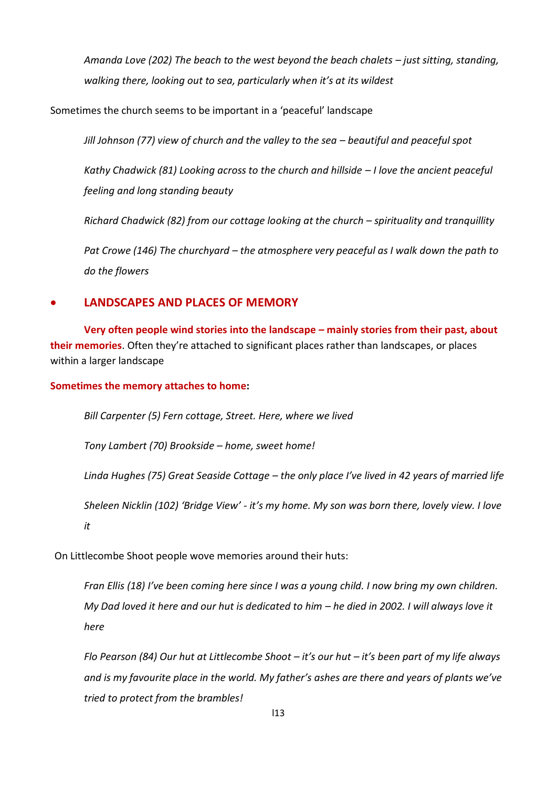*Amanda Love (202) The beach to the west beyond the beach chalets – just sitting, standing, walking there, looking out to sea, particularly when it's at its wildest*

Sometimes the church seems to be important in a 'peaceful' landscape

*Jill Johnson (77) view of church and the valley to the sea – beautiful and peaceful spot* 

*Kathy Chadwick (81) Looking across to the church and hillside – I love the ancient peaceful feeling and long standing beauty*

*Richard Chadwick (82) from our cottage looking at the church – spirituality and tranquillity*

*Pat Crowe (146) The churchyard – the atmosphere very peaceful as I walk down the path to do the flowers*

# **LANDSCAPES AND PLACES OF MEMORY**

**Very often people wind stories into the landscape – mainly stories from their past, about their memories**. Often they're attached to significant places rather than landscapes, or places within a larger landscape

**Sometimes the memory attaches to home:**

*Bill Carpenter (5) Fern cottage, Street. Here, where we lived*

*Tony Lambert (70) Brookside – home, sweet home!*

*Linda Hughes (75) Great Seaside Cottage – the only place I've lived in 42 years of married life*

*Sheleen Nicklin (102) 'Bridge View' - it's my home. My son was born there, lovely view. I love it*

On Littlecombe Shoot people wove memories around their huts:

*Fran Ellis (18) I've been coming here since I was a young child. I now bring my own children. My Dad loved it here and our hut is dedicated to him – he died in 2002. I will always love it here*

*Flo Pearson (84) Our hut at Littlecombe Shoot – it's our hut – it's been part of my life always and is my favourite place in the world. My father's ashes are there and years of plants we've tried to protect from the brambles!*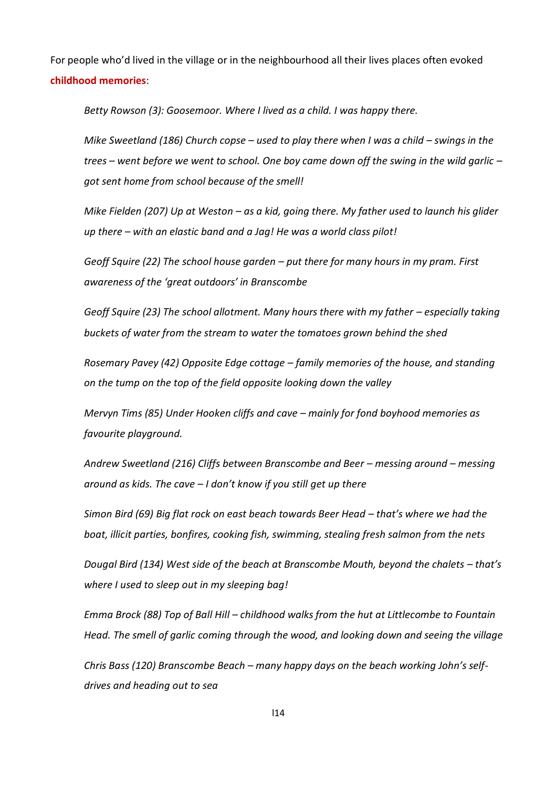For people who'd lived in the village or in the neighbourhood all their lives places often evoked **childhood memories**:

*Betty Rowson (3): Goosemoor. Where I lived as a child. I was happy there.*

*Mike Sweetland (186) Church copse – used to play there when I was a child – swings in the trees – went before we went to school. One boy came down off the swing in the wild garlic – got sent home from school because of the smell!*

*Mike Fielden (207) Up at Weston – as a kid, going there. My father used to launch his glider up there – with an elastic band and a Jag! He was a world class pilot!*

*Geoff Squire (22) The school house garden – put there for many hours in my pram. First awareness of the 'great outdoors' in Branscombe*

*Geoff Squire (23) The school allotment. Many hours there with my father – especially taking buckets of water from the stream to water the tomatoes grown behind the shed*

*Rosemary Pavey (42) Opposite Edge cottage – family memories of the house, and standing on the tump on the top of the field opposite looking down the valley*

*Mervyn Tims (85) Under Hooken cliffs and cave – mainly for fond boyhood memories as favourite playground.* 

*Andrew Sweetland (216) Cliffs between Branscombe and Beer – messing around – messing around as kids. The cave – I don't know if you still get up there*

*Simon Bird (69) Big flat rock on east beach towards Beer Head – that's where we had the boat, illicit parties, bonfires, cooking fish, swimming, stealing fresh salmon from the nets*

*Dougal Bird (134) West side of the beach at Branscombe Mouth, beyond the chalets – that's where I used to sleep out in my sleeping bag!*

*Emma Brock (88) Top of Ball Hill – childhood walks from the hut at Littlecombe to Fountain Head. The smell of garlic coming through the wood, and looking down and seeing the village*

*Chris Bass (120) Branscombe Beach – many happy days on the beach working John's selfdrives and heading out to sea*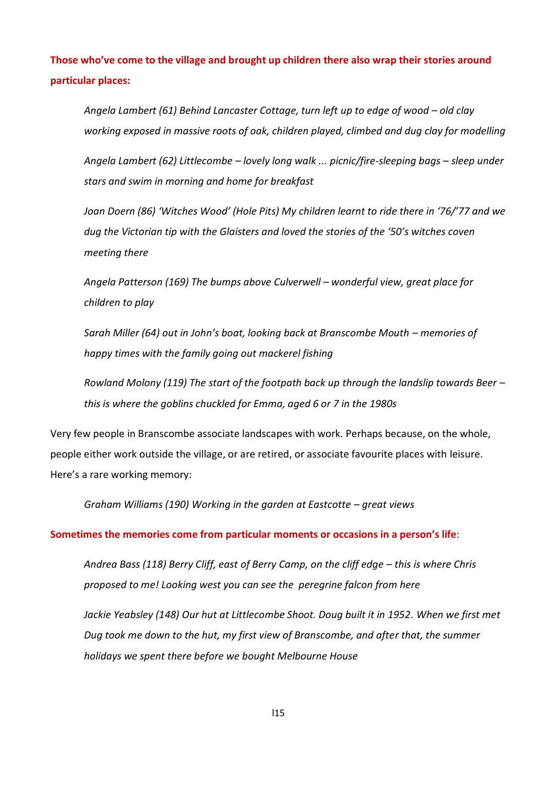**Those who've come to the village and brought up children there also wrap their stories around particular places:** 

*Angela Lambert (61) Behind Lancaster Cottage, turn left up to edge of wood – old clay working exposed in massive roots of oak, children played, climbed and dug clay for modelling*

*Angela Lambert (62) Littlecombe – lovely long walk ... picnic/fire-sleeping bags – sleep under stars and swim in morning and home for breakfast*

*Joan Doern (86) 'Witches Wood' (Hole Pits) My children learnt to ride there in '76/'77 and we dug the Victorian tip with the Glaisters and loved the stories of the '50's witches coven meeting there*

*Angela Patterson (169) The bumps above Culverwell – wonderful view, great place for children to play*

*Sarah Miller (64) out in John's boat, looking back at Branscombe Mouth – memories of happy times with the family going out mackerel fishing*

*Rowland Molony (119) The start of the footpath back up through the landslip towards Beer – this is where the goblins chuckled for Emma, aged 6 or 7 in the 1980s*

Very few people in Branscombe associate landscapes with work. Perhaps because, on the whole, people either work outside the village, or are retired, or associate favourite places with leisure. Here's a rare working memory:

*Graham Williams (190) Working in the garden at Eastcotte – great views*

#### **Sometimes the memories come from particular moments or occasions in a person's life**:

Andrea Bass (118) Berry Cliff, east of Berry Camp, on the cliff edge - this is where Chris *proposed to me! Looking west you can see the peregrine falcon from here* 

Jackie Yeabsley (148) Our hut at Littlecombe Shoot. Doug built it in 1952. When we first met *Dug took me down to the hut, my first view of Branscombe, and after that, the summer holidays we spent there before we bought Melbourne House*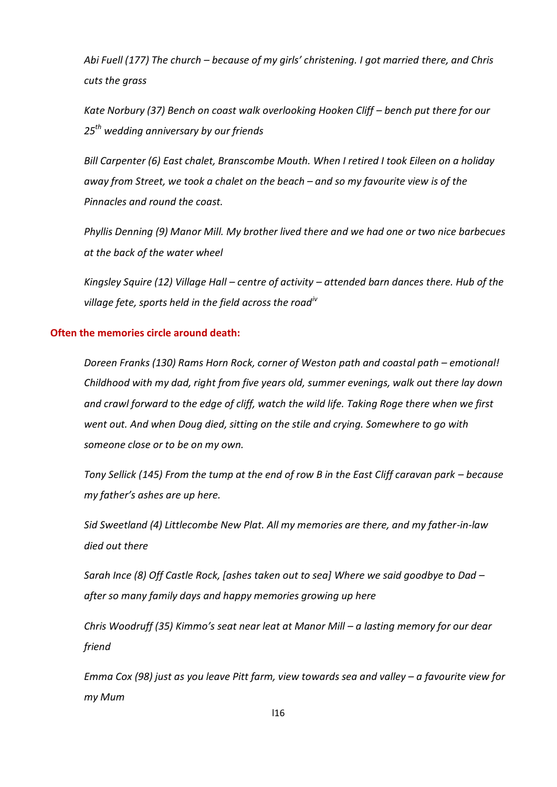*Abi Fuell (177) The church – because of my girls' christening. I got married there, and Chris cuts the grass*

*Kate Norbury (37) Bench on coast walk overlooking Hooken Cliff - bench put there for our 25th wedding anniversary by our friends*

*Bill Carpenter (6) East chalet, Branscombe Mouth. When I retired I took Eileen on a holiday away from Street, we took a chalet on the beach – and so my favourite view is of the Pinnacles and round the coast.*

*Phyllis Denning (9) Manor Mill. My brother lived there and we had one or two nice barbecues at the back of the water wheel*

*Kingsley Squire (12) Village Hall – centre of activity – attended barn dances there. Hub of the village fete, sports held in the field across the roadiv*

#### **Often the memories circle around death:**

*Doreen Franks (130) Rams Horn Rock, corner of Weston path and coastal path – emotional! Childhood with my dad, right from five years old, summer evenings, walk out there lay down and crawl forward to the edge of cliff, watch the wild life. Taking Roge there when we first went out. And when Doug died, sitting on the stile and crying. Somewhere to go with someone close or to be on my own.*

*Tony Sellick (145) From the tump at the end of row B in the East Cliff caravan park – because my father's ashes are up here.*

*Sid Sweetland (4) Littlecombe New Plat. All my memories are there, and my father-in-law died out there*

*Sarah Ince (8) Off Castle Rock, [ashes taken out to sea] Where we said goodbye to Dad – after so many family days and happy memories growing up here*

*Chris Woodruff (35) Kimmo's seat near leat at Manor Mill – a lasting memory for our dear friend*

*Emma Cox (98) just as you leave Pitt farm, view towards sea and valley – a favourite view for my Mum*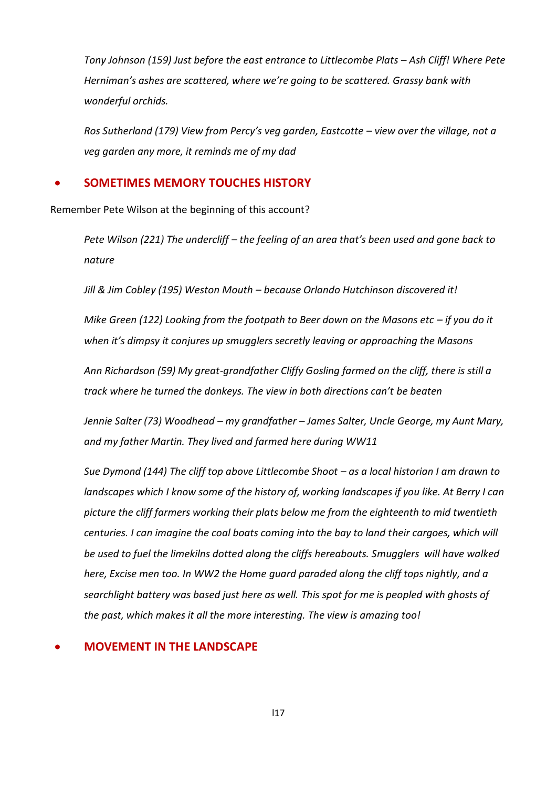*Tony Johnson (159) Just before the east entrance to Littlecombe Plats – Ash Cliff! Where Pete Herniman's ashes are scattered, where we're going to be scattered. Grassy bank with wonderful orchids.*

*Ros Sutherland (179) View from Percy's veg garden, Eastcotte – view over the village, not a veg garden any more, it reminds me of my dad*

## **SOMETIMES MEMORY TOUCHES HISTORY**

Remember Pete Wilson at the beginning of this account?

*Pete Wilson (221) The undercliff – the feeling of an area that's been used and gone back to nature*

*Jill & Jim Cobley (195) Weston Mouth – because Orlando Hutchinson discovered it!*

*Mike Green (122) Looking from the footpath to Beer down on the Masons etc - if you do it when it's dimpsy it conjures up smugglers secretly leaving or approaching the Masons*

*Ann Richardson (59) My great-grandfather Cliffy Gosling farmed on the cliff, there is still a track where he turned the donkeys. The view in both directions can't be beaten*

*Jennie Salter (73) Woodhead – my grandfather – James Salter, Uncle George, my Aunt Mary, and my father Martin. They lived and farmed here during WW11*

*Sue Dymond (144) The cliff top above Littlecombe Shoot – as a local historian I am drawn to landscapes which I know some of the history of, working landscapes if you like. At Berry I can picture the cliff farmers working their plats below me from the eighteenth to mid twentieth centuries. I can imagine the coal boats coming into the bay to land their cargoes, which will be used to fuel the limekilns dotted along the cliffs hereabouts. Smugglers will have walked here, Excise men too. In WW2 the Home guard paraded along the cliff tops nightly, and a searchlight battery was based just here as well. This spot for me is peopled with ghosts of the past, which makes it all the more interesting. The view is amazing too!*

### **MOVEMENT IN THE LANDSCAPE**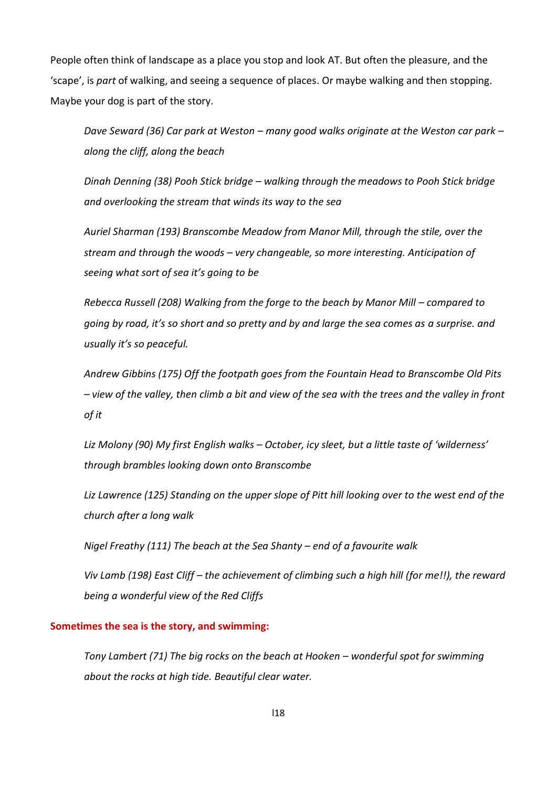People often think of landscape as a place you stop and look AT. But often the pleasure, and the 'scape', is *part* of walking, and seeing a sequence of places. Or maybe walking and then stopping. Maybe your dog is part of the story.

*Dave Seward (36) Car park at Weston – many good walks originate at the Weston car park – along the cliff, along the beach*

*Dinah Denning (38) Pooh Stick bridge – walking through the meadows to Pooh Stick bridge and overlooking the stream that winds its way to the sea*

*Auriel Sharman (193) Branscombe Meadow from Manor Mill, through the stile, over the stream and through the woods – very changeable, so more interesting. Anticipation of seeing what sort of sea it's going to be*

*Rebecca Russell (208) Walking from the forge to the beach by Manor Mill – compared to going by road, it's so short and so pretty and by and large the sea comes as a surprise. and usually it's so peaceful.*

*Andrew Gibbins (175) Off the footpath goes from the Fountain Head to Branscombe Old Pits – view of the valley, then climb a bit and view of the sea with the trees and the valley in front of it*

*Liz Molony (90) My first English walks – October, icy sleet, but a little taste of 'wilderness' through brambles looking down onto Branscombe*

*Liz Lawrence (125) Standing on the upper slope of Pitt hill looking over to the west end of the church after a long walk*

*Nigel Freathy (111) The beach at the Sea Shanty – end of a favourite walk*

*Viv Lamb (198) East Cliff – the achievement of climbing such a high hill (for me!!), the reward being a wonderful view of the Red Cliffs*

#### **Sometimes the sea is the story, and swimming:**

*Tony Lambert (71) The big rocks on the beach at Hooken – wonderful spot for swimming about the rocks at high tide. Beautiful clear water.*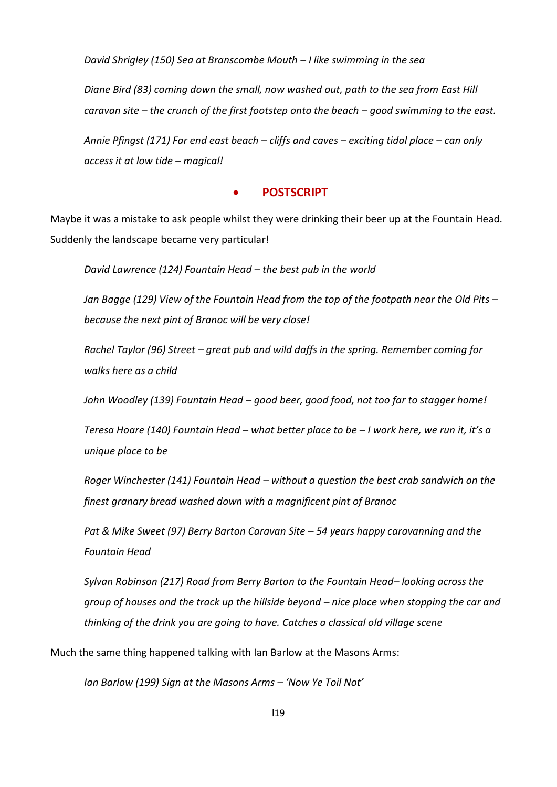*David Shrigley (150) Sea at Branscombe Mouth – I like swimming in the sea*

*Diane Bird (83) coming down the small, now washed out, path to the sea from East Hill caravan site – the crunch of the first footstep onto the beach – good swimming to the east.*

*Annie Pfingst (171) Far end east beach – cliffs and caves – exciting tidal place – can only access it at low tide – magical!*

## **POSTSCRIPT**

Maybe it was a mistake to ask people whilst they were drinking their beer up at the Fountain Head. Suddenly the landscape became very particular!

*David Lawrence (124) Fountain Head – the best pub in the world*

*Jan Bagge (129) View of the Fountain Head from the top of the footpath near the Old Pits – because the next pint of Branoc will be very close!*

*Rachel Taylor (96) Street – great pub and wild daffs in the spring. Remember coming for walks here as a child*

*John Woodley (139) Fountain Head – good beer, good food, not too far to stagger home!*

*Teresa Hoare (140) Fountain Head – what better place to be – I work here, we run it, it's a unique place to be*

*Roger Winchester (141) Fountain Head – without a question the best crab sandwich on the finest granary bread washed down with a magnificent pint of Branoc*

*Pat & Mike Sweet (97) Berry Barton Caravan Site – 54 years happy caravanning and the Fountain Head*

*Sylvan Robinson (217) Road from Berry Barton to the Fountain Head– looking across the group of houses and the track up the hillside beyond – nice place when stopping the car and thinking of the drink you are going to have. Catches a classical old village scene*

Much the same thing happened talking with Ian Barlow at the Masons Arms:

*Ian Barlow (199) Sign at the Masons Arms – 'Now Ye Toil Not'*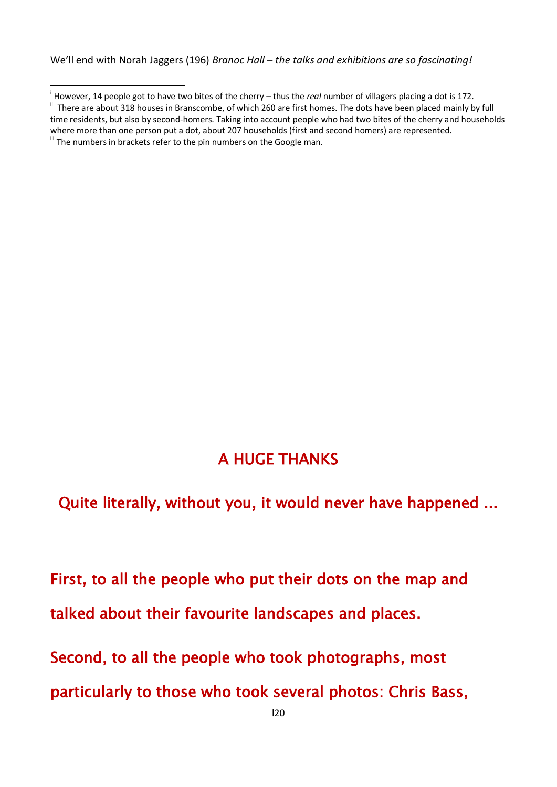We'll end with Norah Jaggers (196) *Branoc Hall – the talks and exhibitions are so fascinating!* 

 $\overline{\phantom{a}}$ 

Quite literally, without you, it would never have happened ...

First, to all the people who put their dots on the map and talked about their favourite landscapes and places.

Second, to all the people who took photographs, most

particularly to those who took several photos: Chris Bass,

i However, 14 people got to have two bites of the cherry – thus the *real* number of villagers placing a dot is 172.

<sup>&</sup>lt;sup>ii</sup> There are about 318 houses in Branscombe, of which 260 are first homes. The dots have been placed mainly by full time residents, but also by second-homers. Taking into account people who had two bites of the cherry and households where more than one person put a dot, about 207 households (first and second homers) are represented. iii The numbers in brackets refer to the pin numbers on the Google man.

A HUGE THANKS